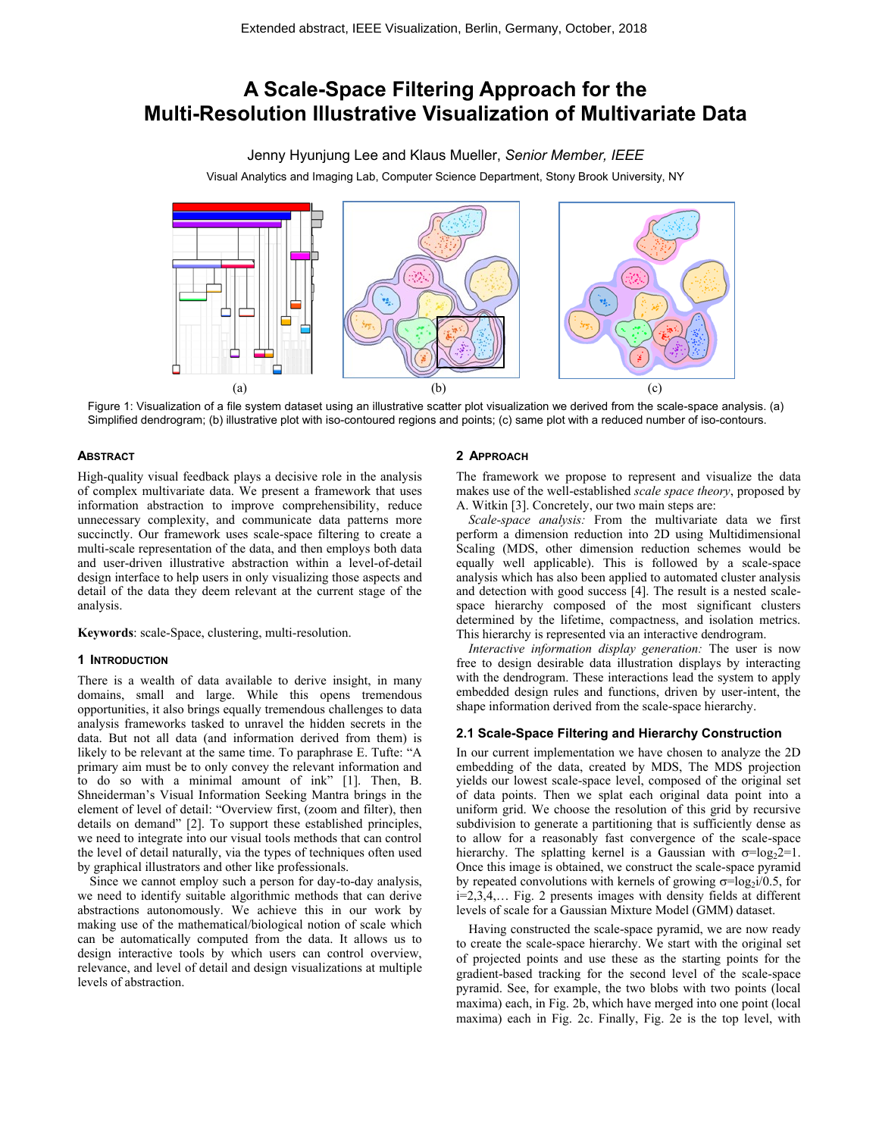# **A Scale-Space Filtering Approach for the Multi-Resolution Illustrative Visualization of Multivariate Data**

Jenny Hyunjung Lee and Klaus Mueller, *Senior Member, IEEE*

Visual Analytics and Imaging Lab, Computer Science Department, Stony Brook University, NY



Figure 1: Visualization of a file system dataset using an illustrative scatter plot visualization we derived from the scale-space analysis. (a) Simplified dendrogram; (b) illustrative plot with iso-contoured regions and points; (c) same plot with a reduced number of iso-contours.

## **ABSTRACT**

High-quality visual feedback plays a decisive role in the analysis of complex multivariate data. We present a framework that uses information abstraction to improve comprehensibility, reduce unnecessary complexity, and communicate data patterns more succinctly. Our framework uses scale-space filtering to create a multi-scale representation of the data, and then employs both data and user-driven illustrative abstraction within a level-of-detail design interface to help users in only visualizing those aspects and detail of the data they deem relevant at the current stage of the analysis.

**Keywords**: scale-Space, clustering, multi-resolution.

## **1 INTRODUCTION**

There is a wealth of data available to derive insight, in many domains, small and large. While this opens tremendous opportunities, it also brings equally tremendous challenges to data analysis frameworks tasked to unravel the hidden secrets in the data. But not all data (and information derived from them) is likely to be relevant at the same time. To paraphrase E. Tufte: "A primary aim must be to only convey the relevant information and to do so with a minimal amount of ink" [\[1\].](#page-1-0) Then, B. Shneiderman's Visual Information Seeking Mantra brings in the element of level of detail: "Overview first, (zoom and filter), then details on demand" [\[2\].](#page-1-1) To support these established principles, we need to integrate into our visual tools methods that can control the level of detail naturally, via the types of techniques often used by graphical illustrators and other like professionals.

Since we cannot employ such a person for day-to-day analysis, we need to identify suitable algorithmic methods that can derive abstractions autonomously. We achieve this in our work by making use of the mathematical/biological notion of scale which can be automatically computed from the data. It allows us to design interactive tools by which users can control overview, relevance, and level of detail and design visualizations at multiple levels of abstraction.

### **2 APPROACH**

The framework we propose to represent and visualize the data makes use of the well-established *scale space theory*, proposed by A. Witkin [\[3\].](#page-1-2) Concretely, our two main steps are:

*Scale-space analysis:* From the multivariate data we first perform a dimension reduction into 2D using Multidimensional Scaling (MDS, other dimension reduction schemes would be equally well applicable). This is followed by a scale-space analysis which has also been applied to automated cluster analysis and detection with good success [\[4\].](#page-1-3) The result is a nested scalespace hierarchy composed of the most significant clusters determined by the lifetime, compactness, and isolation metrics. This hierarchy is represented via an interactive dendrogram.

*Interactive information display generation:* The user is now free to design desirable data illustration displays by interacting with the dendrogram. These interactions lead the system to apply embedded design rules and functions, driven by user-intent, the shape information derived from the scale-space hierarchy.

## **2.1 Scale-Space Filtering and Hierarchy Construction**

In our current implementation we have chosen to analyze the 2D embedding of the data, created by MDS, The MDS projection yields our lowest scale-space level, composed of the original set of data points. Then we splat each original data point into a uniform grid. We choose the resolution of this grid by recursive subdivision to generate a partitioning that is sufficiently dense as to allow for a reasonably fast convergence of the scale-space hierarchy. The splatting kernel is a Gaussian with  $\sigma = log_2 2 = 1$ . Once this image is obtained, we construct the scale-space pyramid by repeated convolutions with kernels of growing  $\sigma = \log_2 i/0.5$ , for i=2,3,4,… Fig. 2 presents images with density fields at different levels of scale for a Gaussian Mixture Model (GMM) dataset.

Having constructed the scale-space pyramid, we are now ready to create the scale-space hierarchy. We start with the original set of projected points and use these as the starting points for the gradient-based tracking for the second level of the scale-space pyramid. See, for example, the two blobs with two points (local maxima) each, in Fig. 2b, which have merged into one point (local maxima) each in Fig. 2c. Finally, Fig. 2e is the top level, with